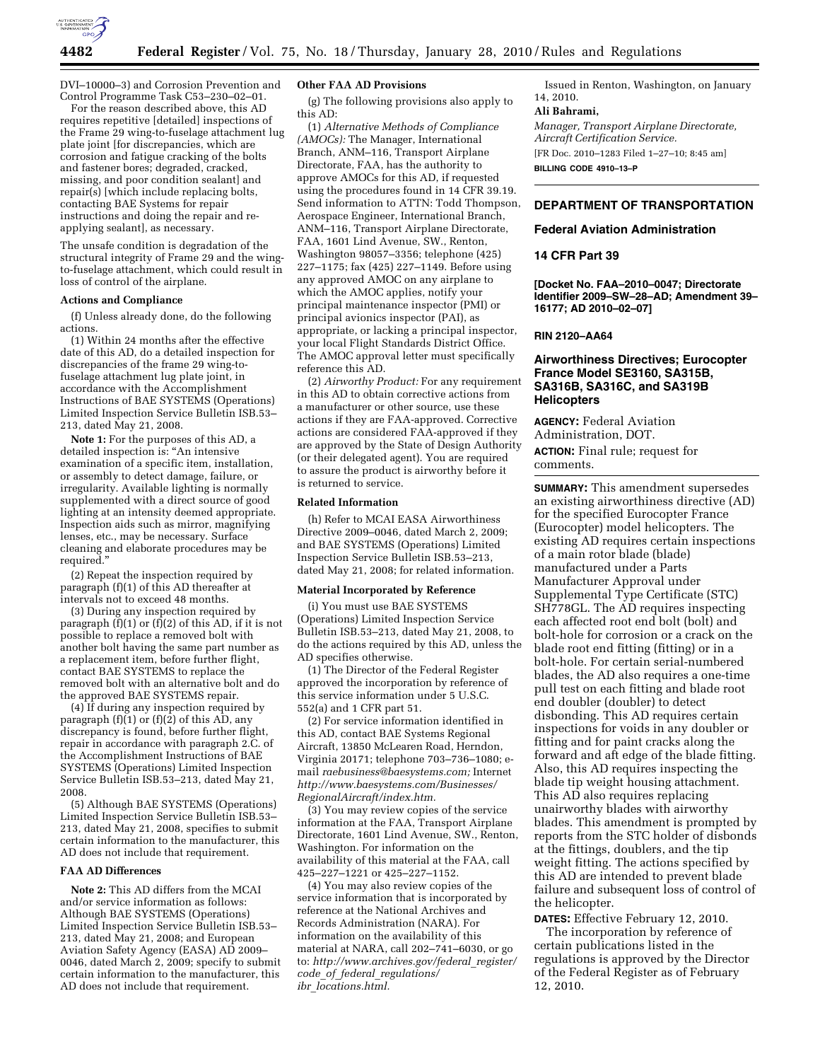

DVI–10000–3) and Corrosion Prevention and Control Programme Task C53–230–02–01.

For the reason described above, this AD requires repetitive [detailed] inspections of the Frame 29 wing-to-fuselage attachment lug plate joint [for discrepancies, which are corrosion and fatigue cracking of the bolts and fastener bores; degraded, cracked, missing, and poor condition sealant] and repair(s) [which include replacing bolts, contacting BAE Systems for repair instructions and doing the repair and reapplying sealant], as necessary.

The unsafe condition is degradation of the structural integrity of Frame 29 and the wingto-fuselage attachment, which could result in loss of control of the airplane.

# **Actions and Compliance**

(f) Unless already done, do the following actions.

(1) Within 24 months after the effective date of this AD, do a detailed inspection for discrepancies of the frame 29 wing-tofuselage attachment lug plate joint, in accordance with the Accomplishment Instructions of BAE SYSTEMS (Operations) Limited Inspection Service Bulletin ISB.53– 213, dated May 21, 2008.

**Note 1:** For the purposes of this AD, a detailed inspection is: ''An intensive examination of a specific item, installation, or assembly to detect damage, failure, or irregularity. Available lighting is normally supplemented with a direct source of good lighting at an intensity deemed appropriate. Inspection aids such as mirror, magnifying lenses, etc., may be necessary. Surface cleaning and elaborate procedures may be required.''

(2) Repeat the inspection required by paragraph (f)(1) of this AD thereafter at intervals not to exceed 48 months.

(3) During any inspection required by paragraph  $(f)(1)$  or  $(f)(2)$  of this AD, if it is not possible to replace a removed bolt with another bolt having the same part number as a replacement item, before further flight, contact BAE SYSTEMS to replace the removed bolt with an alternative bolt and do the approved BAE SYSTEMS repair.

(4) If during any inspection required by paragraph  $(f)(1)$  or  $(f)(2)$  of this AD, any discrepancy is found, before further flight, repair in accordance with paragraph 2.C. of the Accomplishment Instructions of BAE SYSTEMS (Operations) Limited Inspection Service Bulletin ISB.53–213, dated May 21, 2008.

(5) Although BAE SYSTEMS (Operations) Limited Inspection Service Bulletin ISB.53– 213, dated May 21, 2008, specifies to submit certain information to the manufacturer, this AD does not include that requirement.

#### **FAA AD Differences**

**Note 2:** This AD differs from the MCAI and/or service information as follows: Although BAE SYSTEMS (Operations) Limited Inspection Service Bulletin ISB.53– 213, dated May 21, 2008; and European Aviation Safety Agency (EASA) AD 2009– 0046, dated March 2, 2009; specify to submit certain information to the manufacturer, this AD does not include that requirement.

### **Other FAA AD Provisions**

(g) The following provisions also apply to this AD:

(1) *Alternative Methods of Compliance (AMOCs):* The Manager, International Branch, ANM–116, Transport Airplane Directorate, FAA, has the authority to approve AMOCs for this AD, if requested using the procedures found in 14 CFR 39.19. Send information to ATTN: Todd Thompson, Aerospace Engineer, International Branch, ANM–116, Transport Airplane Directorate, FAA, 1601 Lind Avenue, SW., Renton, Washington 98057–3356; telephone (425) 227–1175; fax (425) 227–1149. Before using any approved AMOC on any airplane to which the AMOC applies, notify your principal maintenance inspector (PMI) or principal avionics inspector (PAI), as appropriate, or lacking a principal inspector, your local Flight Standards District Office. The AMOC approval letter must specifically reference this AD.

(2) *Airworthy Product:* For any requirement in this AD to obtain corrective actions from a manufacturer or other source, use these actions if they are FAA-approved. Corrective actions are considered FAA-approved if they are approved by the State of Design Authority (or their delegated agent). You are required to assure the product is airworthy before it is returned to service.

### **Related Information**

(h) Refer to MCAI EASA Airworthiness Directive 2009–0046, dated March 2, 2009; and BAE SYSTEMS (Operations) Limited Inspection Service Bulletin ISB.53–213, dated May 21, 2008; for related information.

#### **Material Incorporated by Reference**

(i) You must use BAE SYSTEMS (Operations) Limited Inspection Service Bulletin ISB.53–213, dated May 21, 2008, to do the actions required by this AD, unless the AD specifies otherwise.

(1) The Director of the Federal Register approved the incorporation by reference of this service information under 5 U.S.C. 552(a) and 1 CFR part 51.

(2) For service information identified in this AD, contact BAE Systems Regional Aircraft, 13850 McLearen Road, Herndon, Virginia 20171; telephone 703–736–1080; email *raebusiness@baesystems.com;* Internet *http://www.baesystems.com/Businesses/ RegionalAircraft/index.htm.* 

(3) You may review copies of the service information at the FAA, Transport Airplane Directorate, 1601 Lind Avenue, SW., Renton, Washington. For information on the availability of this material at the FAA, call 425–227–1221 or 425–227–1152.

(4) You may also review copies of the service information that is incorporated by reference at the National Archives and Records Administration (NARA). For information on the availability of this material at NARA, call 202–741–6030, or go to: *http://www.archives.gov/federal*\_*register/ code*\_*of*\_*federal*\_*regulations/ ibr*\_*locations.html.* 

Issued in Renton, Washington, on January 14, 2010.

#### **Ali Bahrami,**

*Manager, Transport Airplane Directorate, Aircraft Certification Service.* 

[FR Doc. 2010–1283 Filed 1–27–10; 8:45 am] **BILLING CODE 4910–13–P** 

# **DEPARTMENT OF TRANSPORTATION**

# **Federal Aviation Administration**

# **14 CFR Part 39**

**[Docket No. FAA–2010–0047; Directorate Identifier 2009–SW–28–AD; Amendment 39– 16177; AD 2010–02–07]** 

# **RIN 2120–AA64**

# **Airworthiness Directives; Eurocopter France Model SE3160, SA315B, SA316B, SA316C, and SA319B Helicopters**

**AGENCY:** Federal Aviation Administration, DOT.

**ACTION:** Final rule; request for comments.

**SUMMARY:** This amendment supersedes an existing airworthiness directive (AD) for the specified Eurocopter France (Eurocopter) model helicopters. The existing AD requires certain inspections of a main rotor blade (blade) manufactured under a Parts Manufacturer Approval under Supplemental Type Certificate (STC) SH778GL. The AD requires inspecting each affected root end bolt (bolt) and bolt-hole for corrosion or a crack on the blade root end fitting (fitting) or in a bolt-hole. For certain serial-numbered blades, the AD also requires a one-time pull test on each fitting and blade root end doubler (doubler) to detect disbonding. This AD requires certain inspections for voids in any doubler or fitting and for paint cracks along the forward and aft edge of the blade fitting. Also, this AD requires inspecting the blade tip weight housing attachment. This AD also requires replacing unairworthy blades with airworthy blades. This amendment is prompted by reports from the STC holder of disbonds at the fittings, doublers, and the tip weight fitting. The actions specified by this AD are intended to prevent blade failure and subsequent loss of control of the helicopter.

**DATES:** Effective February 12, 2010.

The incorporation by reference of certain publications listed in the regulations is approved by the Director of the Federal Register as of February 12, 2010.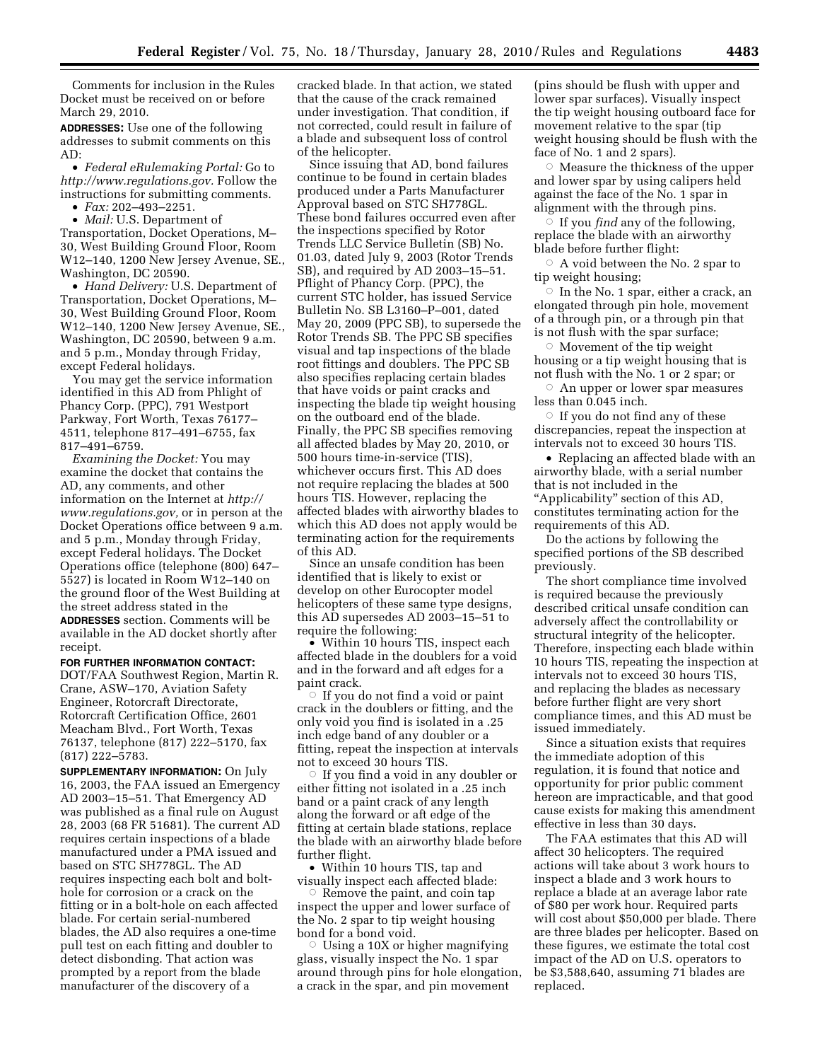Comments for inclusion in the Rules Docket must be received on or before March 29, 2010.

**ADDRESSES:** Use one of the following addresses to submit comments on this AD:

• *Federal eRulemaking Portal:* Go to *http://www.regulations.gov.* Follow the instructions for submitting comments.

• *Fax:* 202–493–2251.

• *Mail:* U.S. Department of Transportation, Docket Operations, M– 30, West Building Ground Floor, Room W12–140, 1200 New Jersey Avenue, SE., Washington, DC 20590.

• *Hand Delivery:* U.S. Department of Transportation, Docket Operations, M– 30, West Building Ground Floor, Room W12–140, 1200 New Jersey Avenue, SE., Washington, DC 20590, between 9 a.m. and 5 p.m., Monday through Friday, except Federal holidays.

You may get the service information identified in this AD from Phlight of Phancy Corp. (PPC), 791 Westport Parkway, Fort Worth, Texas 76177– 4511, telephone 817–491–6755, fax 817–491–6759.

*Examining the Docket:* You may examine the docket that contains the AD, any comments, and other information on the Internet at *http:// www.regulations.gov,* or in person at the Docket Operations office between 9 a.m. and 5 p.m., Monday through Friday, except Federal holidays. The Docket Operations office (telephone (800) 647– 5527) is located in Room W12–140 on the ground floor of the West Building at the street address stated in the **ADDRESSES** section. Comments will be available in the AD docket shortly after receipt.

### **FOR FURTHER INFORMATION CONTACT:**

DOT/FAA Southwest Region, Martin R. Crane, ASW–170, Aviation Safety Engineer, Rotorcraft Directorate, Rotorcraft Certification Office, 2601 Meacham Blvd., Fort Worth, Texas 76137, telephone (817) 222–5170, fax (817) 222–5783.

**SUPPLEMENTARY INFORMATION:** On July 16, 2003, the FAA issued an Emergency AD 2003–15–51. That Emergency AD was published as a final rule on August 28, 2003 (68 FR 51681). The current AD requires certain inspections of a blade manufactured under a PMA issued and based on STC SH778GL. The AD requires inspecting each bolt and bolthole for corrosion or a crack on the fitting or in a bolt-hole on each affected blade. For certain serial-numbered blades, the AD also requires a one-time pull test on each fitting and doubler to detect disbonding. That action was prompted by a report from the blade manufacturer of the discovery of a

cracked blade. In that action, we stated that the cause of the crack remained under investigation. That condition, if not corrected, could result in failure of a blade and subsequent loss of control of the helicopter.

Since issuing that AD, bond failures continue to be found in certain blades produced under a Parts Manufacturer Approval based on STC SH778GL. These bond failures occurred even after the inspections specified by Rotor Trends LLC Service Bulletin (SB) No. 01.03, dated July 9, 2003 (Rotor Trends SB), and required by AD 2003–15–51. Pflight of Phancy Corp. (PPC), the current STC holder, has issued Service Bulletin No. SB L3160–P–001, dated May 20, 2009 (PPC SB), to supersede the Rotor Trends SB. The PPC SB specifies visual and tap inspections of the blade root fittings and doublers. The PPC SB also specifies replacing certain blades that have voids or paint cracks and inspecting the blade tip weight housing on the outboard end of the blade. Finally, the PPC SB specifies removing all affected blades by May 20, 2010, or 500 hours time-in-service (TIS), whichever occurs first. This AD does not require replacing the blades at 500 hours TIS. However, replacing the affected blades with airworthy blades to which this AD does not apply would be terminating action for the requirements of this AD.

Since an unsafe condition has been identified that is likely to exist or develop on other Eurocopter model helicopters of these same type designs, this AD supersedes AD 2003–15–51 to require the following:

• Within 10 hours TIS, inspect each affected blade in the doublers for a void and in the forward and aft edges for a paint crack.

 $\circ$  If you do not find a void or paint crack in the doublers or fitting, and the only void you find is isolated in a .25 inch edge band of any doubler or a fitting, repeat the inspection at intervals not to exceed 30 hours TIS.

 $\circ$  If you find a void in any doubler or either fitting not isolated in a .25 inch band or a paint crack of any length along the forward or aft edge of the fitting at certain blade stations, replace the blade with an airworthy blade before further flight.

• Within 10 hours TIS, tap and visually inspect each affected blade:

 $\circ$  Remove the paint, and coin tap inspect the upper and lower surface of the No. 2 spar to tip weight housing bond for a bond void.

 $\circ$  Using a 10X or higher magnifying glass, visually inspect the No. 1 spar around through pins for hole elongation, a crack in the spar, and pin movement

(pins should be flush with upper and lower spar surfaces). Visually inspect the tip weight housing outboard face for movement relative to the spar (tip weight housing should be flush with the face of No. 1 and 2 spars).

 $\circ$  Measure the thickness of the upper and lower spar by using calipers held against the face of the No. 1 spar in alignment with the through pins.

 $\overline{\circ}$  If you *find* any of the following, replace the blade with an airworthy blade before further flight:

 $\circ$  A void between the No. 2 spar to tip weight housing;

 $\circ$  In the No. 1 spar, either a crack, an elongated through pin hole, movement of a through pin, or a through pin that is not flush with the spar surface;

 $\circ$  Movement of the tip weight housing or a tip weight housing that is not flush with the No. 1 or 2 spar; or

 $\circ$  An upper or lower spar measures less than 0.045 inch.

 $\circ$  If you do not find any of these discrepancies, repeat the inspection at intervals not to exceed 30 hours TIS.

• Replacing an affected blade with an airworthy blade, with a serial number that is not included in the ''Applicability'' section of this AD, constitutes terminating action for the

requirements of this AD. Do the actions by following the

specified portions of the SB described previously.

The short compliance time involved is required because the previously described critical unsafe condition can adversely affect the controllability or structural integrity of the helicopter. Therefore, inspecting each blade within 10 hours TIS, repeating the inspection at intervals not to exceed 30 hours TIS, and replacing the blades as necessary before further flight are very short compliance times, and this AD must be issued immediately.

Since a situation exists that requires the immediate adoption of this regulation, it is found that notice and opportunity for prior public comment hereon are impracticable, and that good cause exists for making this amendment effective in less than 30 days.

The FAA estimates that this AD will affect 30 helicopters. The required actions will take about 3 work hours to inspect a blade and 3 work hours to replace a blade at an average labor rate of \$80 per work hour. Required parts will cost about \$50,000 per blade. There are three blades per helicopter. Based on these figures, we estimate the total cost impact of the AD on U.S. operators to be \$3,588,640, assuming 71 blades are replaced.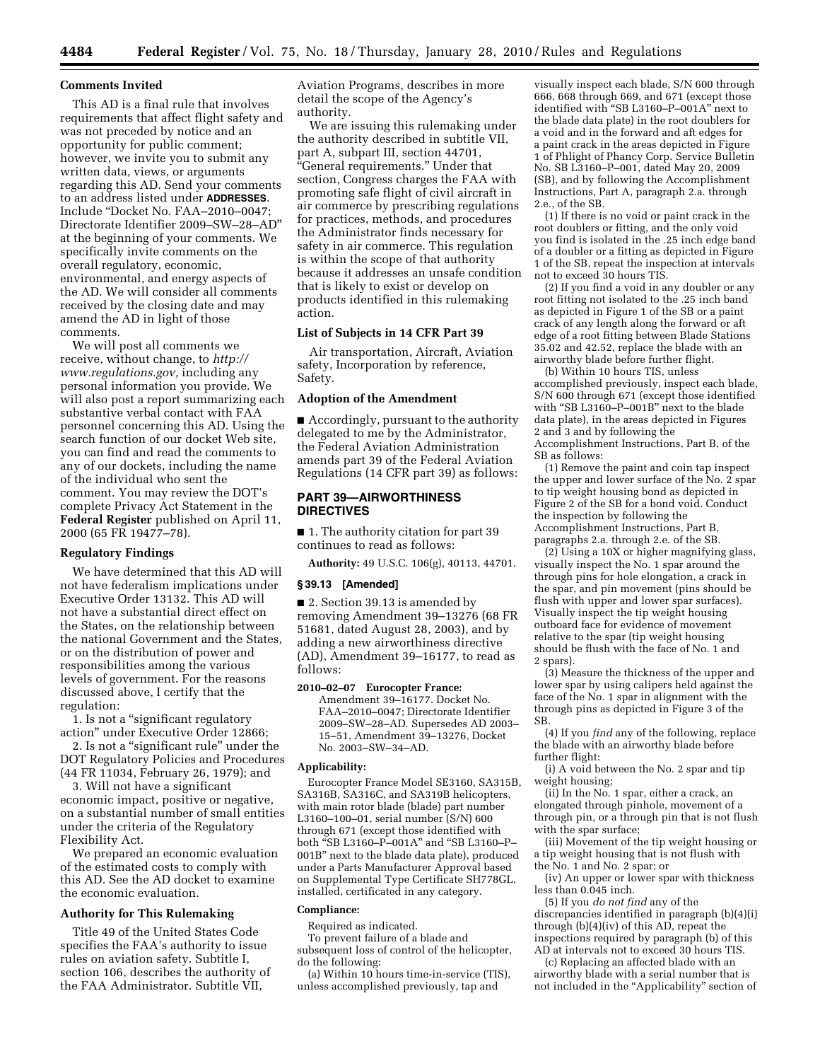#### **Comments Invited**

This AD is a final rule that involves requirements that affect flight safety and was not preceded by notice and an opportunity for public comment; however, we invite you to submit any written data, views, or arguments regarding this AD. Send your comments to an address listed under **ADDRESSES**. Include ''Docket No. FAA–2010–0047; Directorate Identifier 2009–SW–28–AD'' at the beginning of your comments. We specifically invite comments on the overall regulatory, economic, environmental, and energy aspects of the AD. We will consider all comments received by the closing date and may amend the AD in light of those comments.

We will post all comments we receive, without change, to *http:// www.regulations.gov,* including any personal information you provide. We will also post a report summarizing each substantive verbal contact with FAA personnel concerning this AD. Using the search function of our docket Web site, you can find and read the comments to any of our dockets, including the name of the individual who sent the comment. You may review the DOT's complete Privacy Act Statement in the **Federal Register** published on April 11, 2000 (65 FR 19477–78).

#### **Regulatory Findings**

We have determined that this AD will not have federalism implications under Executive Order 13132. This AD will not have a substantial direct effect on the States, on the relationship between the national Government and the States, or on the distribution of power and responsibilities among the various levels of government. For the reasons discussed above, I certify that the regulation:

1. Is not a ''significant regulatory action'' under Executive Order 12866;

2. Is not a ''significant rule'' under the DOT Regulatory Policies and Procedures (44 FR 11034, February 26, 1979); and

3. Will not have a significant economic impact, positive or negative, on a substantial number of small entities under the criteria of the Regulatory Flexibility Act.

We prepared an economic evaluation of the estimated costs to comply with this AD. See the AD docket to examine the economic evaluation.

# **Authority for This Rulemaking**

Title 49 of the United States Code specifies the FAA's authority to issue rules on aviation safety. Subtitle I, section 106, describes the authority of the FAA Administrator. Subtitle VII,

Aviation Programs, describes in more detail the scope of the Agency's authority.

We are issuing this rulemaking under the authority described in subtitle VII, part A, subpart III, section 44701, ''General requirements.'' Under that section, Congress charges the FAA with promoting safe flight of civil aircraft in air commerce by prescribing regulations for practices, methods, and procedures the Administrator finds necessary for safety in air commerce. This regulation is within the scope of that authority because it addresses an unsafe condition that is likely to exist or develop on products identified in this rulemaking action.

# **List of Subjects in 14 CFR Part 39**

Air transportation, Aircraft, Aviation safety, Incorporation by reference, Safety.

# **Adoption of the Amendment**

■ Accordingly, pursuant to the authority delegated to me by the Administrator, the Federal Aviation Administration amends part 39 of the Federal Aviation Regulations (14 CFR part 39) as follows:

# **PART 39—AIRWORTHINESS DIRECTIVES**

■ 1. The authority citation for part 39 continues to read as follows:

**Authority:** 49 U.S.C. 106(g), 40113, 44701.

#### **§ 39.13 [Amended]**

■ 2. Section 39.13 is amended by removing Amendment 39–13276 (68 FR 51681, dated August 28, 2003), and by adding a new airworthiness directive (AD), Amendment 39–16177, to read as follows:

#### **2010–02–07 Eurocopter France:**

Amendment 39–16177. Docket No. FAA–2010–0047; Directorate Identifier 2009–SW–28–AD. Supersedes AD 2003– 15–51, Amendment 39–13276, Docket No. 2003–SW–34–AD.

#### **Applicability:**

Eurocopter France Model SE3160, SA315B, SA316B, SA316C, and SA319B helicopters, with main rotor blade (blade) part number L3160–100–01, serial number (S/N) 600 through 671 (except those identified with both ''SB L3160–P–001A'' and ''SB L3160–P– 001B'' next to the blade data plate), produced under a Parts Manufacturer Approval based on Supplemental Type Certificate SH778GL, installed, certificated in any category.

### **Compliance:**

Required as indicated.

To prevent failure of a blade and subsequent loss of control of the helicopter, do the following:

(a) Within 10 hours time-in-service (TIS), unless accomplished previously, tap and

visually inspect each blade, S/N 600 through 666, 668 through 669, and 671 (except those identified with ''SB L3160–P–001A'' next to the blade data plate) in the root doublers for a void and in the forward and aft edges for a paint crack in the areas depicted in Figure 1 of Phlight of Phancy Corp. Service Bulletin No. SB L3160–P–001, dated May 20, 2009 (SB), and by following the Accomplishment Instructions, Part A, paragraph 2.a. through 2.e., of the SB.

(1) If there is no void or paint crack in the root doublers or fitting, and the only void you find is isolated in the .25 inch edge band of a doubler or a fitting as depicted in Figure 1 of the SB, repeat the inspection at intervals not to exceed 30 hours TIS.

(2) If you find a void in any doubler or any root fitting not isolated to the .25 inch band as depicted in Figure 1 of the SB or a paint crack of any length along the forward or aft edge of a root fitting between Blade Stations 35.02 and 42.52, replace the blade with an airworthy blade before further flight.

(b) Within 10 hours TIS, unless accomplished previously, inspect each blade, S/N 600 through 671 (except those identified with "SB L3160-P-001B" next to the blade data plate), in the areas depicted in Figures 2 and 3 and by following the Accomplishment Instructions, Part B, of the SB as follows:

(1) Remove the paint and coin tap inspect the upper and lower surface of the No. 2 spar to tip weight housing bond as depicted in Figure 2 of the SB for a bond void. Conduct the inspection by following the Accomplishment Instructions, Part B, paragraphs 2.a. through 2.e. of the SB.

 $(2)$  Using a 10X or higher magnifying glass, visually inspect the No. 1 spar around the through pins for hole elongation, a crack in the spar, and pin movement (pins should be flush with upper and lower spar surfaces). Visually inspect the tip weight housing outboard face for evidence of movement relative to the spar (tip weight housing should be flush with the face of No. 1 and 2 spars).

(3) Measure the thickness of the upper and lower spar by using calipers held against the face of the No. 1 spar in alignment with the through pins as depicted in Figure 3 of the SB.

(4) If you *find* any of the following, replace the blade with an airworthy blade before further flight:

(i) A void between the No. 2 spar and tip weight housing;

(ii) In the No. 1 spar, either a crack, an elongated through pinhole, movement of a through pin, or a through pin that is not flush with the spar surface;

(iii) Movement of the tip weight housing or a tip weight housing that is not flush with the No. 1 and No. 2 spar; or

(iv) An upper or lower spar with thickness less than 0.045 inch.

(5) If you *do not find* any of the discrepancies identified in paragraph (b)(4)(i) through (b)(4)(iv) of this AD, repeat the inspections required by paragraph (b) of this AD at intervals not to exceed 30 hours TIS.

(c) Replacing an affected blade with an airworthy blade with a serial number that is not included in the ''Applicability'' section of